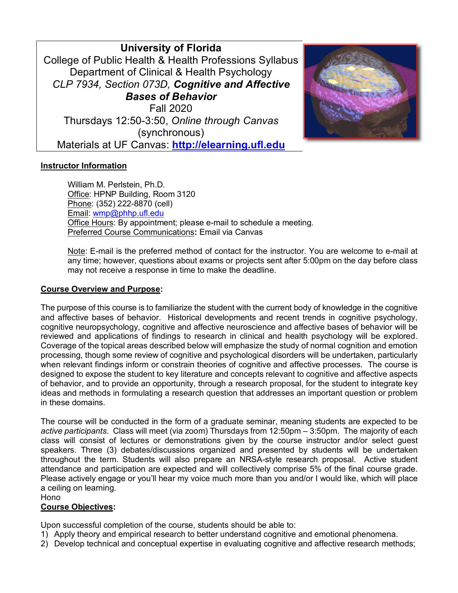**University of Florida** College of Public Health & Health Professions Syllabus Department of Clinical & Health Psychology *CLP 7934, Section 073D, Cognitive and Affective Bases of Behavior* Fall 2020 Thursdays 12:50-3:50, *Online through Canvas*  (synchronous) Materials at UF Canvas: **http://elearning.ufl.edu**



# **Instructor Information**

William M. Perlstein, Ph.D. Office: HPNP Building, Room 3120 Phone: (352) 222-8870 (cell) Email: wmp@phhp.ufl.edu Office Hours: By appointment; please e-mail to schedule a meeting. Preferred Course Communications**:** Email via Canvas

Note: E-mail is the preferred method of contact for the instructor. You are welcome to e-mail at any time; however, questions about exams or projects sent after 5:00pm on the day before class may not receive a response in time to make the deadline.

#### **Course Overview and Purpose:**

The purpose of this course is to familiarize the student with the current body of knowledge in the cognitive and affective bases of behavior. Historical developments and recent trends in cognitive psychology, cognitive neuropsychology, cognitive and affective neuroscience and affective bases of behavior will be reviewed and applications of findings to research in clinical and health psychology will be explored. Coverage of the topical areas described below will emphasize the study of normal cognition and emotion processing, though some review of cognitive and psychological disorders will be undertaken, particularly when relevant findings inform or constrain theories of cognitive and affective processes. The course is designed to expose the student to key literature and concepts relevant to cognitive and affective aspects of behavior, and to provide an opportunity, through a research proposal, for the student to integrate key ideas and methods in formulating a research question that addresses an important question or problem in these domains.

The course will be conducted in the form of a graduate seminar, meaning students are expected to be *active participants*. Class will meet (via zoom) Thursdays from 12:50pm – 3:50pm. The majority of each class will consist of lectures or demonstrations given by the course instructor and/or select guest speakers. Three (3) debates/discussions organized and presented by students will be undertaken throughout the term. Students will also prepare an NRSA-style research proposal. Active student attendance and participation are expected and will collectively comprise 5% of the final course grade. Please actively engage or you'll hear my voice much more than you and/or I would like, which will place a ceiling on learning.

Hono

# **Course Objectives:**

Upon successful completion of the course, students should be able to:

- 1) Apply theory and empirical research to better understand cognitive and emotional phenomena.
- 2) Develop technical and conceptual expertise in evaluating cognitive and affective research methods;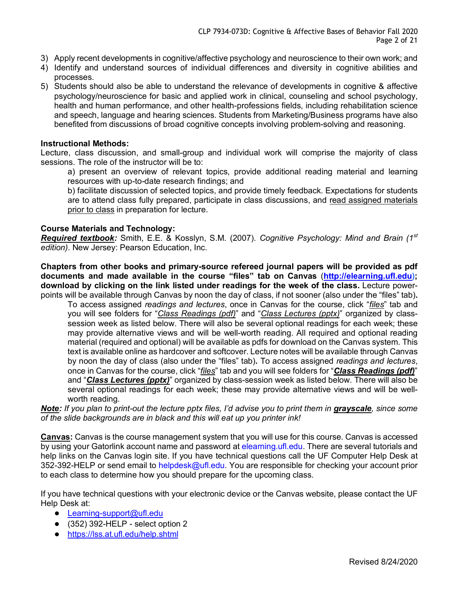- 3) Apply recent developments in cognitive/affective psychology and neuroscience to their own work; and
- 4) Identify and understand sources of individual differences and diversity in cognitive abilities and processes.
- 5) Students should also be able to understand the relevance of developments in cognitive & affective psychology/neuroscience for basic and applied work in clinical, counseling and school psychology, health and human performance, and other health-professions fields, including rehabilitation science and speech, language and hearing sciences. Students from Marketing/Business programs have also benefited from discussions of broad cognitive concepts involving problem-solving and reasoning.

#### **Instructional Methods:**

Lecture, class discussion, and small-group and individual work will comprise the majority of class sessions. The role of the instructor will be to:

a) present an overview of relevant topics, provide additional reading material and learning resources with up-to-date research findings; and

b) facilitate discussion of selected topics, and provide timely feedback. Expectations for students are to attend class fully prepared, participate in class discussions, and read assigned materials prior to class in preparation for lecture.

## **Course Materials and Technology:**

*Required textbook:* Smith, E.E. & Kosslyn, S.M. (2007). *Cognitive Psychology: Mind and Brain (1st edition)*. New Jersey: Pearson Education, Inc.

**Chapters from other books and primary-source refereed journal papers will be provided as pdf documents and made available in the course "files" tab on Canvas** (**http://elearning.ufl.edu); download by clicking on the link listed under readings for the week of the class.** Lecture powerpoints will be available through Canvas by noon the day of class, if not sooner (also under the "files" tab)**.**

To access assigned *readings and lectures*, once in Canvas for the course, click "*files*" tab and you will see folders for "*Class Readings (pdf)*" and "*Class Lectures (pptx)*" organized by classsession week as listed below. There will also be several optional readings for each week; these may provide alternative views and will be well-worth reading. All required and optional reading material (required and optional) will be available as pdfs for download on the Canvas system. This text is available online as hardcover and softcover. Lecture notes will be available through Canvas by noon the day of class (also under the "files" tab)**.** To access assigned *readings and lectures*, once in Canvas for the course, click "*files*" tab and you will see folders for "*Class Readings (pdf)*" and "*Class Lectures (pptx)*" organized by class-session week as listed below. There will also be several optional readings for each week; these may provide alternative views and will be wellworth reading.

*Note: If you plan to print-out the lecture pptx files, I'd advise you to print them in grayscale, since some of the slide backgrounds are in black and this will eat up you printer ink!*

**Canvas:** Canvas is the course management system that you will use for this course. Canvas is accessed by using your Gatorlink account name and password at elearning.ufl.edu. There are several tutorials and help links on the Canvas login site. If you have technical questions call the UF Computer Help Desk at 352-392-HELP or send email to helpdesk@ufl.edu. You are responsible for checking your account prior to each class to determine how you should prepare for the upcoming class.

If you have technical questions with your electronic device or the Canvas website, please contact the UF Help Desk at:

- Learning-support@ufl.edu
- (352) 392-HELP select option 2
- https://lss.at.ufl.edu/help.shtml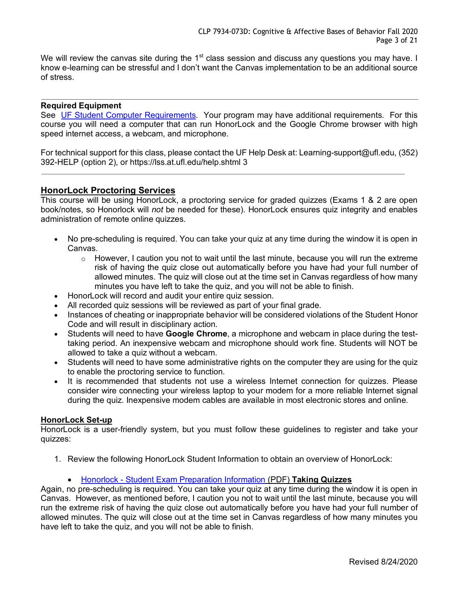We will review the canvas site during the 1<sup>st</sup> class session and discuss any questions you may have. I know e-learning can be stressful and I don't want the Canvas implementation to be an additional source of stress.

### **Required Equipment**

See UF Student Computer Requirements. Your program may have additional requirements. For this course you will need a computer that can run HonorLock and the Google Chrome browser with high speed internet access, a webcam, and microphone.

For technical support for this class, please contact the UF Help Desk at: Learning-support@ufl.edu, (352) 392-HELP (option 2), or https://lss.at.ufl.edu/help.shtml 3

# **HonorLock Proctoring Services**

This course will be using HonorLock, a proctoring service for graded quizzes (Exams 1 & 2 are open book/notes, so Honorlock will *not* be needed for these). HonorLock ensures quiz integrity and enables administration of remote online quizzes.

- No pre-scheduling is required. You can take your quiz at any time during the window it is open in Canvas.
	- $\circ$  However, I caution you not to wait until the last minute, because you will run the extreme risk of having the quiz close out automatically before you have had your full number of allowed minutes. The quiz will close out at the time set in Canvas regardless of how many minutes you have left to take the quiz, and you will not be able to finish.
- HonorLock will record and audit your entire quiz session.
- All recorded quiz sessions will be reviewed as part of your final grade.
- Instances of cheating or inappropriate behavior will be considered violations of the Student Honor Code and will result in disciplinary action.
- Students will need to have **Google Chrome**, a microphone and webcam in place during the testtaking period. An inexpensive webcam and microphone should work fine. Students will NOT be allowed to take a quiz without a webcam.
- Students will need to have some administrative rights on the computer they are using for the quiz to enable the proctoring service to function.
- It is recommended that students not use a wireless Internet connection for quizzes. Please consider wire connecting your wireless laptop to your modem for a more reliable Internet signal during the quiz. Inexpensive modem cables are available in most electronic stores and online.

#### **HonorLock Set-up**

HonorLock is a user-friendly system, but you must follow these guidelines to register and take your quizzes:

- 1. Review the following HonorLock Student Information to obtain an overview of HonorLock:
	- Honorlock Student Exam Preparation Information (PDF) **Taking Quizzes**

Again, no pre-scheduling is required. You can take your quiz at any time during the window it is open in Canvas. However, as mentioned before, I caution you not to wait until the last minute, because you will run the extreme risk of having the quiz close out automatically before you have had your full number of allowed minutes. The quiz will close out at the time set in Canvas regardless of how many minutes you have left to take the quiz, and you will not be able to finish.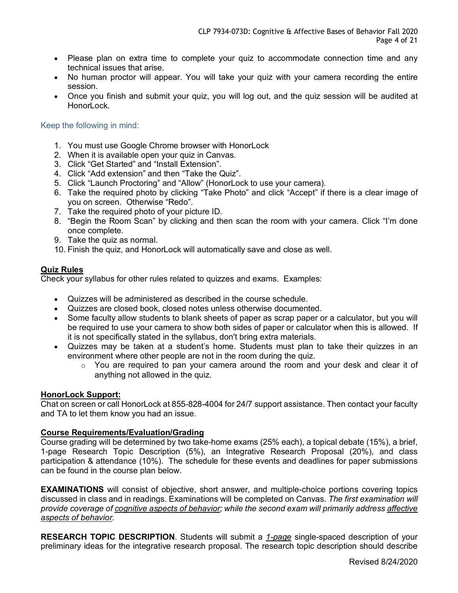- Please plan on extra time to complete your quiz to accommodate connection time and any technical issues that arise.
- No human proctor will appear. You will take your quiz with your camera recording the entire session.
- Once you finish and submit your quiz, you will log out, and the quiz session will be audited at HonorLock.

## Keep the following in mind:

- 1. You must use Google Chrome browser with HonorLock
- 2. When it is available open your quiz in Canvas.
- 3. Click "Get Started" and "Install Extension".
- 4. Click "Add extension" and then "Take the Quiz".
- 5. Click "Launch Proctoring" and "Allow" (HonorLock to use your camera).
- 6. Take the required photo by clicking "Take Photo" and click "Accept" if there is a clear image of you on screen. Otherwise "Redo".
- 7. Take the required photo of your picture ID.
- 8. "Begin the Room Scan" by clicking and then scan the room with your camera. Click "I'm done once complete.
- 9. Take the quiz as normal.
- 10. Finish the quiz, and HonorLock will automatically save and close as well.

## **Quiz Rules**

Check your syllabus for other rules related to quizzes and exams. Examples:

- Quizzes will be administered as described in the course schedule.
- Quizzes are closed book, closed notes unless otherwise documented.
- Some faculty allow students to blank sheets of paper as scrap paper or a calculator, but you will be required to use your camera to show both sides of paper or calculator when this is allowed. If it is not specifically stated in the syllabus, don't bring extra materials.
- Quizzes may be taken at a student's home. Students must plan to take their quizzes in an environment where other people are not in the room during the quiz.
	- o You are required to pan your camera around the room and your desk and clear it of anything not allowed in the quiz.

#### **HonorLock Support:**

Chat on screen or call HonorLock at 855-828-4004 for 24/7 support assistance. Then contact your faculty and TA to let them know you had an issue.

## **Course Requirements/Evaluation/Grading**

Course grading will be determined by two take-home exams (25% each), a topical debate (15%), a brief, 1-page Research Topic Description (5%), an Integrative Research Proposal (20%), and class participation & attendance (10%). The schedule for these events and deadlines for paper submissions can be found in the course plan below.

**EXAMINATIONS** will consist of objective, short answer, and multiple-choice portions covering topics discussed in class and in readings. Examinations will be completed on Canvas. *The first examination will provide coverage of cognitive aspects of behavior; while the second exam will primarily address affective aspects of behavior.*

**RESEARCH TOPIC DESCRIPTION**. Students will submit a *1-page* single-spaced description of your preliminary ideas for the integrative research proposal. The research topic description should describe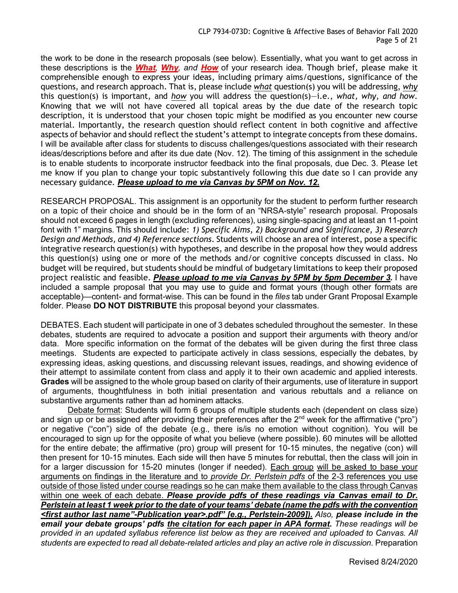the work to be done in the research proposals (see below). Essentially, what you want to get across in these descriptions is the *What, Why, and How* of your research idea. Though brief, please make it comprehensible enough to express your ideas, including primary aims/questions, significance of the questions, and research approach. That is, please include *what* question(s) you will be addressing, *why* this question(s) is important, and *how* you will address the question(s)—i.e., *what, why, and how*. Knowing that we will not have covered all topical areas by the due date of the research topic description, it is understood that your chosen topic might be modified as you encounter new course material. Importantly, the research question should reflect content in both cognitive and affective aspects of behavior and should reflect the student's attempt to integrate concepts from these domains. I will be available after class for students to discuss challenges/questions associated with their research ideas/descriptions before and after its due date (Nov. 12). The timing of this assignment in the schedule is to enable students to incorporate instructor feedback into the final proposals, due Dec. 3. Please let me know if you plan to change your topic substantively following this due date so I can provide any necessary guidance. *Please upload to me via Canvas by 5PM on Nov. 12.*

RESEARCH PROPOSAL. This assignment is an opportunity for the student to perform further research on a topic of their choice and should be in the form of an "NRSA-style" research proposal. Proposals should not exceed 6 pages in length (excluding references), using single-spacing and at least an 11-point font with 1" margins. This should include: *1) Specific Aims, 2) Background and Significance, 3) Research Design and Methods, and 4) Reference sections*. Students will choose an area of interest, pose a specific integrative research question(s) with hypotheses, and describe in the proposal how they would address this question(s) using one or more of the methods and/or cognitive concepts discussed in class. No budget will be required, but students should be mindful of budgetary limitations to keep their proposed project realistic and feasible. *Please upload to me via Canvas by 5PM by 5pm December 3.* I have included a sample proposal that you may use to guide and format yours (though other formats are acceptable)—content- and format-wise. This can be found in the *files* tab under Grant Proposal Example folder. Please **DO NOT DISTRIBUTE** this proposal beyond your classmates.

DEBATES. Each student will participate in one of 3 debates scheduled throughout the semester. In these debates, students are required to advocate a position and support their arguments with theory and/or data. More specific information on the format of the debates will be given during the first three class meetings. Students are expected to participate actively in class sessions, especially the debates, by expressing ideas, asking questions, and discussing relevant issues, readings, and showing evidence of their attempt to assimilate content from class and apply it to their own academic and applied interests. **Grades** will be assigned to the whole group based on clarity of their arguments, use of literature in support of arguments, thoughtfulness in both initial presentation and various rebuttals and a reliance on substantive arguments rather than ad hominem attacks.

Debate format: Students will form 6 groups of multiple students each (dependent on class size) and sign up or be assigned after providing their preferences after the  $2^{nd}$  week for the affirmative ("pro") or negative ("con") side of the debate (e.g., there is/is no emotion without cognition). You will be encouraged to sign up for the opposite of what you believe (where possible). 60 minutes will be allotted for the entire debate; the affirmative (pro) group will present for 10-15 minutes, the negative (con) will then present for 10-15 minutes. Each side will then have 5 minutes for rebuttal, then the class will join in for a larger discussion for 15-20 minutes (longer if needed). Each group will be asked to base your arguments on findings in the literature and to *provide Dr. Perlstein pdfs* of the 2-3 references you use outside of those listed under course readings so he can make them available to the class through Canvas within one week of each debate. *Please provide pdfs of these readings via Canvas email to Dr. Perlstein at least 1 week prior to the date of your teams' debate (name the pdfs with the convention <first author last name"-Publication year>.pdf" [e.g., Perlstein-2009]). Also, please include in the email your debate groups' pdfs the citation for each paper in APA format. These readings will be provided in an updated syllabus reference list below as they are received and uploaded to Canvas. All students are expected to read all debate-related articles and play an active role in discussion.* Preparation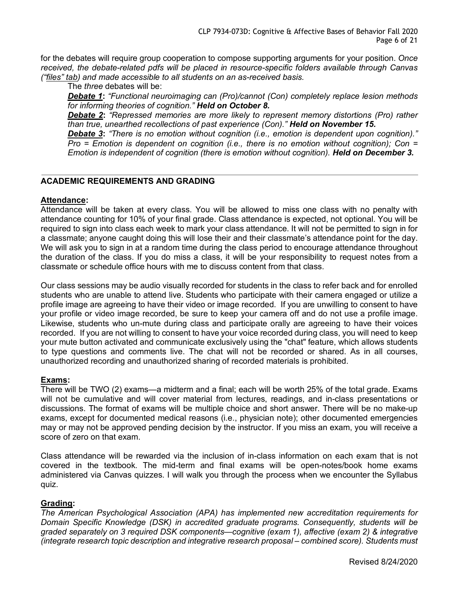for the debates will require group cooperation to compose supporting arguments for your position. *Once received, the debate-related pdfs will be placed in resource-specific folders available through Canvas ("files" tab) and made accessible to all students on an as-received basis.*

The *three* debates will be:

*Debate 1***:** *"Functional neuroimaging can (Pro)/cannot (Con) completely replace lesion methods for informing theories of cognition." Held on October 8.*

*Debate 2***:** *"Repressed memories are more likely to represent memory distortions (Pro) rather than true, unearthed recollections of past experience (Con)." Held on November 15.*

*Debate 3***:** *"There is no emotion without cognition (i.e., emotion is dependent upon cognition)." Pro = Emotion is dependent on cognition (i.e., there is no emotion without cognition); Con = Emotion is independent of cognition (there is emotion without cognition). Held on December 3.*

# **ACADEMIC REQUIREMENTS AND GRADING**

## **Attendance:**

Attendance will be taken at every class. You will be allowed to miss one class with no penalty with attendance counting for 10% of your final grade. Class attendance is expected, not optional. You will be required to sign into class each week to mark your class attendance. It will not be permitted to sign in for a classmate; anyone caught doing this will lose their and their classmate's attendance point for the day. We will ask you to sign in at a random time during the class period to encourage attendance throughout the duration of the class. If you do miss a class, it will be your responsibility to request notes from a classmate or schedule office hours with me to discuss content from that class.

Our class sessions may be audio visually recorded for students in the class to refer back and for enrolled students who are unable to attend live. Students who participate with their camera engaged or utilize a profile image are agreeing to have their video or image recorded. If you are unwilling to consent to have your profile or video image recorded, be sure to keep your camera off and do not use a profile image. Likewise, students who un-mute during class and participate orally are agreeing to have their voices recorded. If you are not willing to consent to have your voice recorded during class, you will need to keep your mute button activated and communicate exclusively using the "chat" feature, which allows students to type questions and comments live. The chat will not be recorded or shared. As in all courses, unauthorized recording and unauthorized sharing of recorded materials is prohibited.

#### **Exams:**

There will be TWO (2) exams—a midterm and a final; each will be worth 25% of the total grade. Exams will not be cumulative and will cover material from lectures, readings, and in-class presentations or discussions. The format of exams will be multiple choice and short answer. There will be no make-up exams, except for documented medical reasons (i.e., physician note); other documented emergencies may or may not be approved pending decision by the instructor. If you miss an exam, you will receive a score of zero on that exam.

Class attendance will be rewarded via the inclusion of in-class information on each exam that is not covered in the textbook. The mid-term and final exams will be open-notes/book home exams administered via Canvas quizzes. I will walk you through the process when we encounter the Syllabus quiz.

#### **Grading:**

*The American Psychological Association (APA) has implemented new accreditation requirements for Domain Specific Knowledge (DSK) in accredited graduate programs. Consequently, students will be graded separately on 3 required DSK components—cognitive (exam 1), affective (exam 2) & integrative (integrate research topic description and integrative research proposal – combined score). Students must*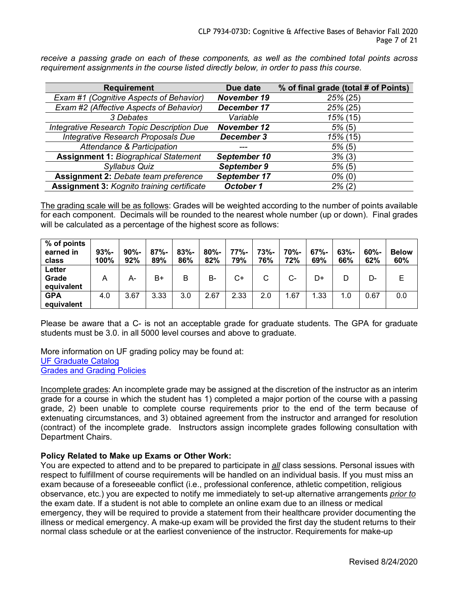*receive a passing grade on each of these components, as well as the combined total points across requirement assignments in the course listed directly below, in order to pass this course.*

| <b>Requirement</b>                          | Due date           | % of final grade (total # of Points) |
|---------------------------------------------|--------------------|--------------------------------------|
| Exam #1 (Cognitive Aspects of Behavior)     | <b>November 19</b> | 25% (25)                             |
| Exam #2 (Affective Aspects of Behavior)     | December 17        | 25% (25)                             |
| 3 Debates                                   | Variable           | 15% (15)                             |
| Integrative Research Topic Description Due  | <b>November 12</b> | 5% (5)                               |
| Integrative Research Proposals Due          | December 3         | 15% (15)                             |
| Attendance & Participation                  |                    | $5\%$ (5)                            |
| <b>Assignment 1: Biographical Statement</b> | September 10       | 3% (3)                               |
| Syllabus Quiz                               | September 9        | 5% (5)                               |
| <b>Assignment 2: Debate team preference</b> | September 17       | $0\%$ (0)                            |
| Assignment 3: Kognito training certificate  | October 1          | $2\%$ (2)                            |

The grading scale will be as follows: Grades will be weighted according to the number of points available for each component. Decimals will be rounded to the nearest whole number (up or down). Final grades will be calculated as a percentage of the highest score as follows:

| % of points<br>earned in<br>class | $93% -$<br>100% | $90% -$<br>92% | $87% -$<br>89% | $83% -$<br>86% | $80% -$<br>82% | 77%-<br>79% | 73%-<br>76% | 70%-<br>72% | $67% -$<br>69% | $63% -$<br>66% | $60% -$<br>62% | <b>Below</b><br>60% |
|-----------------------------------|-----------------|----------------|----------------|----------------|----------------|-------------|-------------|-------------|----------------|----------------|----------------|---------------------|
| Letter<br>Grade<br>equivalent     | A               | А-             | B+             | В              | B-             | $C+$        | С           | $C-$        | D+             | D              | D-             |                     |
| <b>GPA</b><br>equivalent          | 4.0             | 3.67           | 3.33           | 3.0            | 2.67           | 2.33        | 2.0         | 1.67        | 1.33           | 1.0            | 0.67           | 0.0                 |

Please be aware that a C- is not an acceptable grade for graduate students. The GPA for graduate students must be 3.0. in all 5000 level courses and above to graduate.

More information on UF grading policy may be found at: UF Graduate Catalog Grades and Grading Policies

Incomplete grades: An incomplete grade may be assigned at the discretion of the instructor as an interim grade for a course in which the student has 1) completed a major portion of the course with a passing grade, 2) been unable to complete course requirements prior to the end of the term because of extenuating circumstances, and 3) obtained agreement from the instructor and arranged for resolution (contract) of the incomplete grade. Instructors assign incomplete grades following consultation with Department Chairs.

# **Policy Related to Make up Exams or Other Work:**

You are expected to attend and to be prepared to participate in *all* class sessions. Personal issues with respect to fulfillment of course requirements will be handled on an individual basis. If you must miss an exam because of a foreseeable conflict (i.e., professional conference, athletic competition, religious observance, etc.) you are expected to notify me immediately to set-up alternative arrangements *prior to* the exam date. If a student is not able to complete an online exam due to an illness or medical emergency, they will be required to provide a statement from their healthcare provider documenting the illness or medical emergency. A make-up exam will be provided the first day the student returns to their normal class schedule or at the earliest convenience of the instructor. Requirements for make-up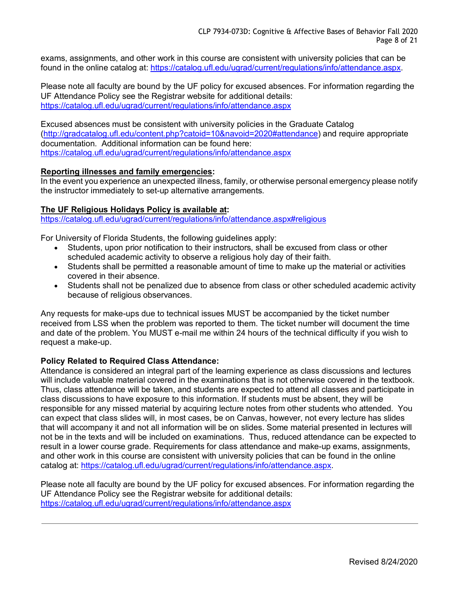exams, assignments, and other work in this course are consistent with university policies that can be found in the online catalog at: https://catalog.ufl.edu/ugrad/current/regulations/info/attendance.aspx.

Please note all faculty are bound by the UF policy for excused absences. For information regarding the UF Attendance Policy see the Registrar website for additional details: https://catalog.ufl.edu/ugrad/current/regulations/info/attendance.aspx

Excused absences must be consistent with university policies in the Graduate Catalog (http://gradcatalog.ufl.edu/content.php?catoid=10&navoid=2020#attendance) and require appropriate documentation. Additional information can be found here: https://catalog.ufl.edu/ugrad/current/regulations/info/attendance.aspx

## **Reporting illnesses and family emergencies:**

In the event you experience an unexpected illness, family, or otherwise personal emergency please notify the instructor immediately to set-up alternative arrangements.

#### **The UF Religious Holidays Policy is available at:**

https://catalog.ufl.edu/ugrad/current/regulations/info/attendance.aspx#religious

For University of Florida Students, the following guidelines apply:

- Students, upon prior notification to their instructors, shall be excused from class or other scheduled academic activity to observe a religious holy day of their faith.
- Students shall be permitted a reasonable amount of time to make up the material or activities covered in their absence.
- Students shall not be penalized due to absence from class or other scheduled academic activity because of religious observances.

Any requests for make-ups due to technical issues MUST be accompanied by the ticket number received from LSS when the problem was reported to them. The ticket number will document the time and date of the problem. You MUST e-mail me within 24 hours of the technical difficulty if you wish to request a make-up.

#### **Policy Related to Required Class Attendance:**

Attendance is considered an integral part of the learning experience as class discussions and lectures will include valuable material covered in the examinations that is not otherwise covered in the textbook. Thus, class attendance will be taken, and students are expected to attend all classes and participate in class discussions to have exposure to this information. If students must be absent, they will be responsible for any missed material by acquiring lecture notes from other students who attended. You can expect that class slides will, in most cases, be on Canvas, however, not every lecture has slides that will accompany it and not all information will be on slides. Some material presented in lectures will not be in the texts and will be included on examinations. Thus, reduced attendance can be expected to result in a lower course grade. Requirements for class attendance and make-up exams, assignments, and other work in this course are consistent with university policies that can be found in the online catalog at: https://catalog.ufl.edu/ugrad/current/regulations/info/attendance.aspx.

Please note all faculty are bound by the UF policy for excused absences. For information regarding the UF Attendance Policy see the Registrar website for additional details: https://catalog.ufl.edu/ugrad/current/regulations/info/attendance.aspx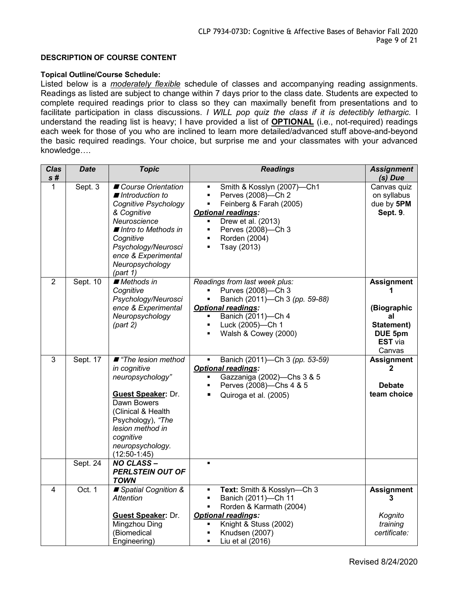#### **DESCRIPTION OF COURSE CONTENT**

#### **Topical Outline/Course Schedule:**

Listed below is a *moderately flexible* schedule of classes and accompanying reading assignments. Readings as listed are subject to change within 7 days prior to the class date. Students are expected to complete required readings prior to class so they can maximally benefit from presentations and to facilitate participation in class discussions. *I WILL pop quiz the class if it is detectibly lethargic.* I understand the reading list is heavy; I have provided a list of **OPTIONAL** (i.e., not-required) readings each week for those of you who are inclined to learn more detailed/advanced stuff above-and-beyond the basic required readings. Your choice, but surprise me and your classmates with your advanced knowledge….

| <b>Clas</b>    | <b>Date</b> | <b>Topic</b>                                                                                                                                                                                                                   | <b>Readings</b>                                                                                                                                                                                                                                                                                         | <b>Assignment</b>                                                                           |
|----------------|-------------|--------------------------------------------------------------------------------------------------------------------------------------------------------------------------------------------------------------------------------|---------------------------------------------------------------------------------------------------------------------------------------------------------------------------------------------------------------------------------------------------------------------------------------------------------|---------------------------------------------------------------------------------------------|
| s#             |             |                                                                                                                                                                                                                                |                                                                                                                                                                                                                                                                                                         | (s) Due                                                                                     |
| $\mathbf{1}$   | Sept. 3     | Course Orientation<br>$\blacksquare$ Introduction to<br>Cognitive Psychology<br>& Cognitive<br>Neuroscience<br>■ Intro to Methods in<br>Cognitive<br>Psychology/Neurosci<br>ence & Experimental<br>Neuropsychology<br>(path 1) | Smith & Kosslyn (2007)-Ch1<br>$\blacksquare$ .<br>Perves (2008)-Ch 2<br>$\blacksquare$<br>Feinberg & Farah (2005)<br>$\blacksquare$<br><b>Optional readings:</b><br>Drew et al. (2013)<br>$\blacksquare$<br>Perves (2008)-Ch 3<br>٠<br>Rorden (2004)<br>$\blacksquare$<br>Tsay (2013)<br>$\blacksquare$ | Canvas quiz<br>on syllabus<br>due by 5PM<br>Sept. 9.                                        |
| $\overline{2}$ | Sept. 10    | Methods in<br>Cognitive<br>Psychology/Neurosci<br>ence & Experimental<br>Neuropsychology<br>(path 2)                                                                                                                           | Readings from last week plus:<br>Purves (2008)-Ch 3<br>Banich (2011)-Ch 3 (pp. 59-88)<br>$\blacksquare$<br><b>Optional readings:</b><br>Banich (2011)-Ch 4<br>Luck (2005)-Ch 1<br>$\blacksquare$<br>Walsh & Cowey (2000)<br>Ē.                                                                          | <b>Assignment</b><br>(Biographic<br>al<br>Statement)<br>DUE 5pm<br><b>EST</b> via<br>Canvas |
| 3              | Sept. 17    | ■ "The lesion method<br>in cognitive<br>neuropsychology"<br><b>Guest Speaker: Dr.</b><br>Dawn Bowers<br>(Clinical & Health<br>Psychology), "The<br>lesion method in<br>cognitive<br>neuropsychology.<br>$(12:50-1:45)$         | Banich (2011)-Ch 3 (pp. 53-59)<br><b>Optional readings:</b><br>Gazzaniga (2002)-Chs 3 & 5<br>$\blacksquare$<br>Perves (2008)-Chs 4 & 5<br>$\blacksquare$<br>Quiroga et al. (2005)<br>П                                                                                                                  | <b>Assignment</b><br>2<br><b>Debate</b><br>team choice                                      |
|                | Sept. 24    | <b>NO CLASS-</b><br><b>PERLSTEIN OUT OF</b><br><b>TOWN</b>                                                                                                                                                                     | $\blacksquare$                                                                                                                                                                                                                                                                                          |                                                                                             |
| 4              | Oct. 1      | ■ Spatial Cognition &<br><b>Attention</b><br><b>Guest Speaker: Dr.</b><br>Mingzhou Ding<br>(Biomedical<br>Engineering)                                                                                                         | Text: Smith & Kosslyn-Ch 3<br>$\blacksquare$<br>Banich (2011)-Ch 11<br>$\blacksquare$<br>Rorden & Karmath (2004)<br>$\blacksquare$<br><b>Optional readings:</b><br>Knight & Stuss (2002)<br>Ξ<br>Knudsen (2007)<br>Liu et al (2016)<br>٠                                                                | <b>Assignment</b><br>3<br>Kognito<br>training<br>certificate:                               |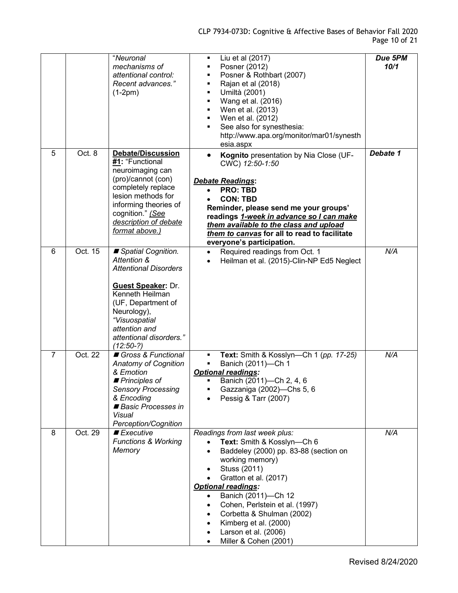|                |         | "Neuronal<br>mechanisms of<br>attentional control:<br>Recent advances."<br>$(1-2pm)$                                                                                                                                               | Liu et al (2017)<br>٠<br>Posner (2012)<br>$\blacksquare$<br>Posner & Rothbart (2007)<br>$\blacksquare$<br>Rajan et al (2018)<br>$\blacksquare$<br>Umiltà (2001)<br>$\blacksquare$<br>Wang et al. (2016)<br>$\blacksquare$<br>Wen et al. (2013)<br>٠<br>Wen et al. (2012)<br>$\blacksquare$<br>See also for synesthesia:<br>$\blacksquare$<br>http://www.apa.org/monitor/mar01/synesth<br>esia.aspx | Due 5PM<br>10/1 |
|----------------|---------|------------------------------------------------------------------------------------------------------------------------------------------------------------------------------------------------------------------------------------|----------------------------------------------------------------------------------------------------------------------------------------------------------------------------------------------------------------------------------------------------------------------------------------------------------------------------------------------------------------------------------------------------|-----------------|
| 5              | Oct. 8  | <b>Debate/Discussion</b><br>#1: "Functional<br>neuroimaging can<br>(pro)/cannot (con)<br>completely replace<br>lesion methods for<br>informing theories of<br>cognition." (See<br>description of debate<br>format above.)          | Kognito presentation by Nia Close (UF-<br>CWC) 12:50-1:50<br><b>Debate Readings:</b><br><b>PRO: TBD</b><br><b>CON: TBD</b><br>Reminder, please send me your groups'<br>readings 1-week in advance so I can make<br>them available to the class and upload<br>them to canvas for all to read to facilitate<br>everyone's participation.                                                             | Debate 1        |
| 6              | Oct. 15 | Spatial Cognition.<br>Attention &<br><b>Attentional Disorders</b><br><b>Guest Speaker: Dr.</b><br>Kenneth Heilman<br>(UF, Department of<br>Neurology),<br>"Visuospatial<br>attention and<br>attentional disorders."<br>$(12:50-?)$ | Required readings from Oct. 1<br>$\bullet$<br>Heilman et al. (2015)-Clin-NP Ed5 Neglect<br>$\bullet$                                                                                                                                                                                                                                                                                               | N/A             |
| $\overline{7}$ | Oct. 22 | Gross & Functional<br><b>Anatomy of Cognition</b><br>& Emotion<br>$\blacksquare$ Principles of<br><b>Sensory Processing</b><br>& Encoding<br>Basic Processes in<br>Visual<br>Perception/Cognition                                  | Text: Smith & Kosslyn--Ch 1 (pp. 17-25)<br>$\blacksquare$<br>$\blacksquare$<br>Banich (2011)-Ch 1<br><b>Optional readings:</b><br>Banich (2011)-Ch 2, 4, 6<br>Gazzaniga (2002)-Chs 5, 6<br>Pessig & Tarr (2007)                                                                                                                                                                                    | N/A             |
| 8              | Oct. 29 | $\blacksquare$ Executive<br><b>Functions &amp; Working</b><br>Memory                                                                                                                                                               | Readings from last week plus:<br>Text: Smith & Kosslyn-Ch 6<br>Baddeley (2000) pp. 83-88 (section on<br>working memory)<br>Stuss (2011)<br>٠<br>Gratton et al. (2017)<br><b>Optional readings:</b><br>Banich (2011)-Ch 12<br>Cohen, Perlstein et al. (1997)<br>Corbetta & Shulman (2002)<br>Kimberg et al. (2000)<br>Larson et al. (2006)<br>Miller & Cohen (2001)                                 | N/A             |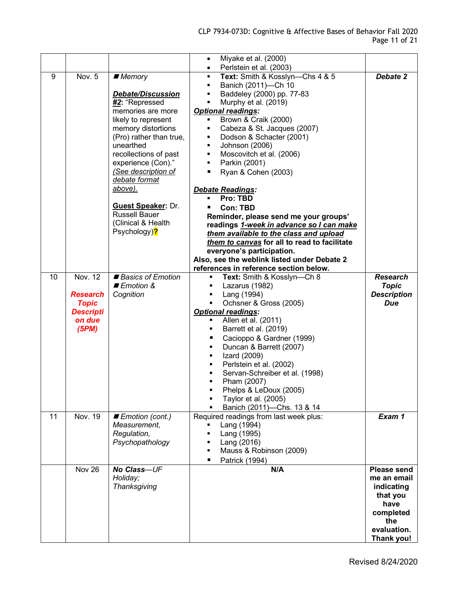|    |                  |                           | Miyake et al. (2000)<br>$\bullet$                                                      |                           |
|----|------------------|---------------------------|----------------------------------------------------------------------------------------|---------------------------|
| 9  | Nov. 5           | ■ Memory                  | Perlstein et al. (2003)<br>$\bullet$<br>Text: Smith & Kosslyn-Chs 4 & 5<br>٠           | Debate 2                  |
|    |                  |                           | Banich (2011)-Ch 10<br>٠                                                               |                           |
|    |                  | Debate/Discussion         | Baddeley (2000) pp. 77-83<br>Ξ                                                         |                           |
|    |                  | #2: "Repressed            | Murphy et al. (2019)<br>$\blacksquare$                                                 |                           |
|    |                  | memories are more         | <b>Optional readings:</b>                                                              |                           |
|    |                  | likely to represent       | Brown & Craik (2000)<br>$\blacksquare$                                                 |                           |
|    |                  | memory distortions        | Cabeza & St. Jacques (2007)<br>٠                                                       |                           |
|    |                  | (Pro) rather than true,   | Dodson & Schacter (2001)<br>$\blacksquare$                                             |                           |
|    |                  | unearthed                 | Johnson (2006)<br>$\blacksquare$                                                       |                           |
|    |                  | recollections of past     | Moscovitch et al. (2006)<br>$\blacksquare$                                             |                           |
|    |                  | experience (Con)."        | Parkin (2001)<br>$\blacksquare$                                                        |                           |
|    |                  | (See description of       | Ryan & Cohen (2003)<br>٠                                                               |                           |
|    |                  | debate format             |                                                                                        |                           |
|    |                  | above).                   | Debate Readings:                                                                       |                           |
|    |                  | <b>Guest Speaker: Dr.</b> | Pro: TBD<br>٠                                                                          |                           |
|    |                  | <b>Russell Bauer</b>      | <b>Con: TBD</b>                                                                        |                           |
|    |                  | (Clinical & Health        | Reminder, please send me your groups'                                                  |                           |
|    |                  | Psychology)?              | readings 1-week in advance so I can make                                               |                           |
|    |                  |                           | them available to the class and upload<br>them to canvas for all to read to facilitate |                           |
|    |                  |                           | everyone's participation.                                                              |                           |
|    |                  |                           | Also, see the weblink listed under Debate 2                                            |                           |
|    |                  |                           | references in reference section below.                                                 |                           |
| 10 | <b>Nov. 12</b>   | Basics of Emotion         | Text: Smith & Kosslyn-Ch 8<br>g,                                                       | <b>Research</b>           |
|    |                  | ■ Emotion &               | Lazarus (1982)<br>٠                                                                    | <b>Topic</b>              |
|    | <b>Research</b>  | Cognition                 | Lang (1994)<br>$\blacksquare$                                                          | <b>Description</b>        |
|    | <b>Topic</b>     |                           | Ochsner & Gross (2005)<br>$\blacksquare$                                               | Due                       |
|    | <b>Descripti</b> |                           | <b>Optional readings:</b>                                                              |                           |
|    | on due           |                           | Allen et al. (2011)<br>٠.                                                              |                           |
|    | (5PM)            |                           | Barrett et al. (2019)<br>٠                                                             |                           |
|    |                  |                           | Cacioppo & Gardner (1999)<br>п                                                         |                           |
|    |                  |                           | Duncan & Barrett (2007)<br>٠                                                           |                           |
|    |                  |                           | Izard (2009)<br>٠                                                                      |                           |
|    |                  |                           | Perlstein et al. (2002)<br>٠                                                           |                           |
|    |                  |                           | Servan-Schreiber et al. (1998)                                                         |                           |
|    |                  |                           | Pham (2007)                                                                            |                           |
|    |                  |                           | Phelps & LeDoux (2005)                                                                 |                           |
|    |                  |                           | Taylor et al. (2005)                                                                   |                           |
| 11 | Nov. 19          | Emotion (cont.)           | Banich (2011)-Chs. 13 & 14<br>Required readings from last week plus:                   | Exam 1                    |
|    |                  | Measurement.              | Lang (1994)                                                                            |                           |
|    |                  | Regulation,               | Lang (1995)<br>$\blacksquare$                                                          |                           |
|    |                  | Psychopathology           | Lang (2016)<br>٠                                                                       |                           |
|    |                  |                           | Mauss & Robinson (2009)<br>$\blacksquare$                                              |                           |
|    |                  |                           | ٠<br>Patrick (1994)                                                                    |                           |
|    | Nov 26           | <b>No Class-UF</b>        | N/A                                                                                    | Please send               |
|    |                  | Holiday;                  |                                                                                        | me an email               |
|    |                  | Thanksgiving              |                                                                                        | indicating                |
|    |                  |                           |                                                                                        | that you                  |
|    |                  |                           |                                                                                        | have                      |
|    |                  |                           |                                                                                        | completed                 |
|    |                  |                           |                                                                                        | the                       |
|    |                  |                           |                                                                                        | evaluation.<br>Thank you! |
|    |                  |                           |                                                                                        |                           |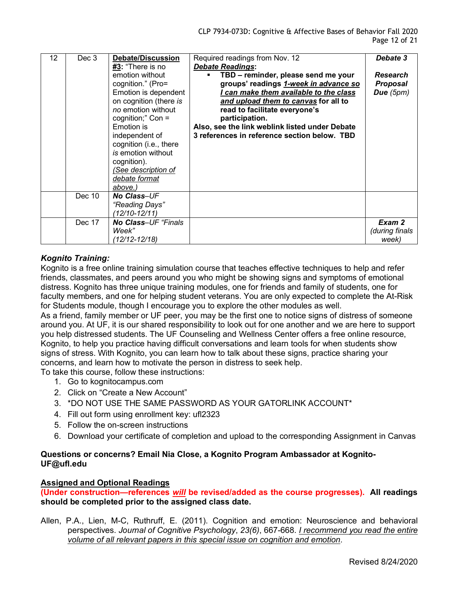| 12 | Dec 3  | <b>Debate/Discussion</b>   | Required readings from Nov. 12                        | Debate 3        |
|----|--------|----------------------------|-------------------------------------------------------|-----------------|
|    |        | #3: "There is no           | <b>Debate Readings:</b>                               |                 |
|    |        | emotion without            | TBD - reminder, please send me your<br>$\blacksquare$ | <b>Research</b> |
|    |        | cognition." (Pro=          | groups' readings 1-week in advance so                 | <b>Proposal</b> |
|    |        | Emotion is dependent       | can make them available to the class                  | Due $(5pm)$     |
|    |        | on cognition (there is     | and upload them to canvas for all to                  |                 |
|    |        | no emotion without         | read to facilitate everyone's                         |                 |
|    |        | cognition;" Con =          | participation.                                        |                 |
|    |        | <b>Emotion</b> is          | Also, see the link weblink listed under Debate        |                 |
|    |        | independent of             | 3 references in reference section below. TBD          |                 |
|    |        | cognition (i.e., there     |                                                       |                 |
|    |        | is emotion without         |                                                       |                 |
|    |        | cognition).                |                                                       |                 |
|    |        | (See description of        |                                                       |                 |
|    |        | debate format              |                                                       |                 |
|    |        | above.)                    |                                                       |                 |
|    | Dec 10 | <b>No Class-UF</b>         |                                                       |                 |
|    |        | "Reading Days"             |                                                       |                 |
|    |        | (12/10-12/11)              |                                                       |                 |
|    | Dec 17 | <b>No Class-UF "Finals</b> |                                                       | Exam 2          |
|    |        | Week"                      |                                                       | (during finals  |
|    |        | (12/12-12/18)              |                                                       | week)           |

# *Kognito Training:*

Kognito is a free online training simulation course that teaches effective techniques to help and refer friends, classmates, and peers around you who might be showing signs and symptoms of emotional distress. Kognito has three unique training modules, one for friends and family of students, one for faculty members, and one for helping student veterans. You are only expected to complete the At-Risk for Students module, though I encourage you to explore the other modules as well.

As a friend, family member or UF peer, you may be the first one to notice signs of distress of someone around you. At UF, it is our shared responsibility to look out for one another and we are here to support you help distressed students. The UF Counseling and Wellness Center offers a free online resource, Kognito, to help you practice having difficult conversations and learn tools for when students show signs of stress. With Kognito, you can learn how to talk about these signs, practice sharing your concerns, and learn how to motivate the person in distress to seek help.

To take this course, follow these instructions:

- 1. Go to kognitocampus.com
- 2. Click on "Create a New Account"
- 3. \*DO NOT USE THE SAME PASSWORD AS YOUR GATORLINK ACCOUNT\*
- 4. Fill out form using enrollment key: ufl2323
- 5. Follow the on-screen instructions
- 6. Download your certificate of completion and upload to the corresponding Assignment in Canvas

## **Questions or concerns? Email Nia Close, a Kognito Program Ambassador at Kognito-UF@ufl.edu**

#### **Assigned and Optional Readings**

**(Under construction—references** *will* **be revised/added as the course progresses). All readings should be completed prior to the assigned class date.**

Allen, P.A., Lien, M-C, Ruthruff, E. (2011). Cognition and emotion: Neuroscience and behavioral perspectives. *Journal of Cognitive Psychology*, *23(6)*, 667-668. *I recommend you read the entire volume of all relevant papers in this special issue on cognition and emotion*.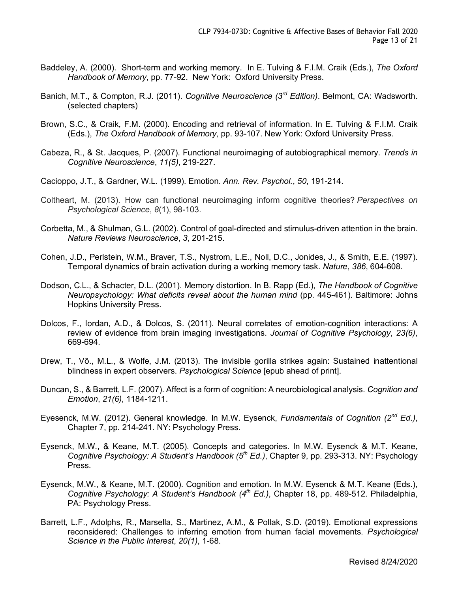- Baddeley, A. (2000). Short-term and working memory. In E. Tulving & F.I.M. Craik (Eds.), *The Oxford Handbook of Memory*, pp. 77-92. New York: Oxford University Press.
- Banich, M.T., & Compton, R.J. (2011). *Cognitive Neuroscience (3rd Edition)*. Belmont, CA: Wadsworth. (selected chapters)
- Brown, S.C., & Craik, F.M. (2000). Encoding and retrieval of information. In E. Tulving & F.I.M. Craik (Eds.), *The Oxford Handbook of Memory*, pp. 93-107. New York: Oxford University Press.
- Cabeza, R., & St. Jacques, P. (2007). Functional neuroimaging of autobiographical memory. *Trends in Cognitive Neuroscience*, *11(5)*, 219-227.
- Cacioppo, J.T., & Gardner, W.L. (1999). Emotion. *Ann. Rev. Psychol.*, *50*, 191-214.
- Coltheart, M. (2013). How can functional neuroimaging inform cognitive theories? *Perspectives on Psychological Science*, *8*(1), 98-103.
- Corbetta, M., & Shulman, G.L. (2002). Control of goal-directed and stimulus-driven attention in the brain. *Nature Reviews Neuroscience*, *3*, 201-215.
- Cohen, J.D., Perlstein, W.M., Braver, T.S., Nystrom, L.E., Noll, D.C., Jonides, J., & Smith, E.E. (1997). Temporal dynamics of brain activation during a working memory task. *Nature*, *386*, 604-608*.*
- Dodson, C.L., & Schacter, D.L. (2001). Memory distortion. In B. Rapp (Ed.), *The Handbook of Cognitive Neuropsychology: What deficits reveal about the human mind* (pp. 445-461). Baltimore: Johns Hopkins University Press.
- Dolcos, F., Iordan, A.D., & Dolcos, S. (2011). Neural correlates of emotion-cognition interactions: A review of evidence from brain imaging investigations. *Journal of Cognitive Psychology*, *23(6)*, 669-694.
- Drew, T., Võ., M.L., & Wolfe, J.M. (2013). The invisible gorilla strikes again: Sustained inattentional blindness in expert observers. *Psychological Science* [epub ahead of print].
- Duncan, S., & Barrett, L.F. (2007). Affect is a form of cognition: A neurobiological analysis. *Cognition and Emotion*, *21(6)*, 1184-1211.
- Eyesenck, M.W. (2012). General knowledge. In M.W. Eysenck, *Fundamentals of Cognition (2nd Ed.)*, Chapter 7, pp. 214-241. NY: Psychology Press.
- Eysenck, M.W., & Keane, M.T. (2005). Concepts and categories. In M.W. Eysenck & M.T. Keane, *Cognitive Psychology: A Student's Handbook (5th Ed.)*, Chapter 9, pp. 293-313. NY: Psychology Press.
- Eysenck, M.W., & Keane, M.T. (2000). Cognition and emotion. In M.W. Eysenck & M.T. Keane (Eds.), *Cognitive Psychology: A Student's Handbook (4th Ed.)*, Chapter 18, pp. 489-512. Philadelphia, PA: Psychology Press.
- Barrett, L.F., Adolphs, R., Marsella, S., Martinez, A.M., & Pollak, S.D. (2019). Emotional expressions reconsidered: Challenges to inferring emotion from human facial movements. *Psychological Science in the Public Interest*, *20(1)*, 1-68.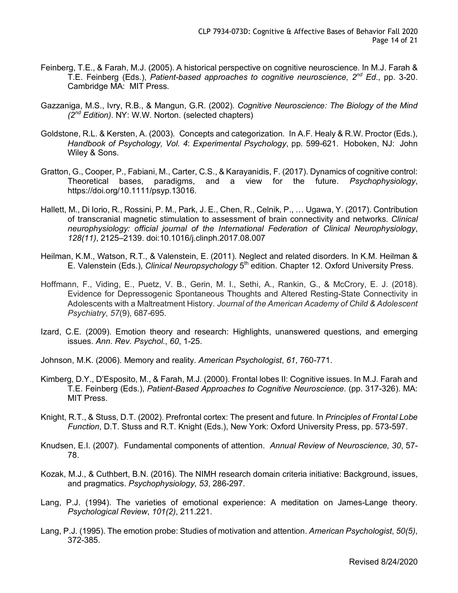- Feinberg, T.E., & Farah, M.J. (2005). A historical perspective on cognitive neuroscience. In M.J. Farah & T.E. Feinberg (Eds.), *Patient-based approaches to cognitive neuroscience, 2nd Ed.*, pp. 3-20. Cambridge MA: MIT Press.
- Gazzaniga, M.S., Ivry, R.B., & Mangun, G.R. (2002). *Cognitive Neuroscience: The Biology of the Mind (2nd Edition)*. NY: W.W. Norton. (selected chapters)
- Goldstone, R.L. & Kersten, A. (2003). Concepts and categorization. In A.F. Healy & R.W. Proctor (Eds.), *Handbook of Psychology, Vol. 4*: *Experimental Psychology*, pp. 599-621. Hoboken, NJ: John Wiley & Sons.
- Gratton, G., Cooper, P., Fabiani, M., Carter, C.S., & Karayanidis, F. (2017). Dynamics of cognitive control: Theoretical bases, paradigms, and a view for the future. *Psychophysiology*, https://doi.org/10.1111/psyp.13016.
- Hallett, M., Di Iorio, R., Rossini, P. M., Park, J. E., Chen, R., Celnik, P., … Ugawa, Y. (2017). Contribution of transcranial magnetic stimulation to assessment of brain connectivity and networks. *Clinical neurophysiology: official journal of the International Federation of Clinical Neurophysiology*, *128(11)*, 2125–2139. doi:10.1016/j.clinph.2017.08.007
- Heilman, K.M., Watson, R.T., & Valenstein, E. (2011). Neglect and related disorders. In K.M. Heilman & E. Valenstein (Eds.), *Clinical Neuropsychology* 5<sup>th</sup> edition. Chapter 12. Oxford University Press.
- Hoffmann, F., Viding, E., Puetz, V. B., Gerin, M. I., Sethi, A., Rankin, G., & McCrory, E. J. (2018). Evidence for Depressogenic Spontaneous Thoughts and Altered Resting-State Connectivity in Adolescents with a Maltreatment History. *Journal of the American Academy of Child & Adolescent Psychiatry*, *57*(9), 687-695.
- Izard, C.E. (2009). Emotion theory and research: Highlights, unanswered questions, and emerging issues. *Ann. Rev. Psychol.*, *60*, 1-25.
- Johnson, M.K. (2006). Memory and reality. *American Psychologist*, *61*, 760-771.
- Kimberg, D.Y., D'Esposito, M., & Farah, M.J. (2000). Frontal lobes II: Cognitive issues. In M.J. Farah and T.E. Feinberg (Eds.), *Patient-Based Approaches to Cognitive Neuroscience*. (pp. 317-326). MA: MIT Press.
- Knight, R.T., & Stuss, D.T. (2002). Prefrontal cortex: The present and future. In *Principles of Frontal Lobe Function*, D.T. Stuss and R.T. Knight (Eds.), New York: Oxford University Press, pp. 573-597.
- Knudsen, E.I. (2007). Fundamental components of attention. *Annual Review of Neuroscience, 30*, 57- 78.
- Kozak, M.J., & Cuthbert, B.N. (2016). The NIMH research domain criteria initiative: Background, issues, and pragmatics. *Psychophysiology*, *53*, 286-297.
- Lang, P.J. (1994). The varieties of emotional experience: A meditation on James-Lange theory. *Psychological Review*, *101(2)*, 211.221.
- Lang, P.J. (1995). The emotion probe: Studies of motivation and attention. *American Psychologist*, *50(5)*, 372-385.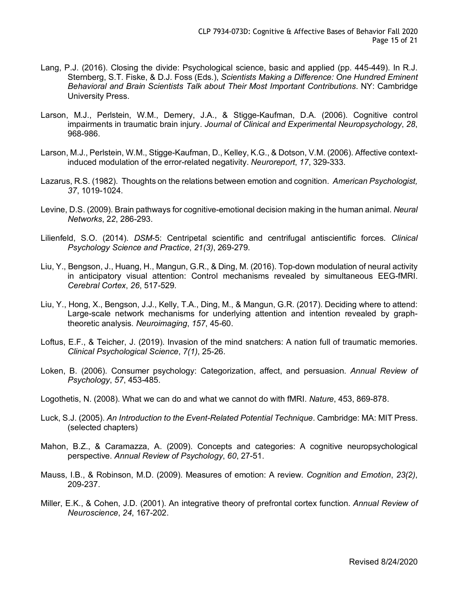- Lang, P.J. (2016). Closing the divide: Psychological science, basic and applied (pp. 445-449). In R.J. Sternberg, S.T. Fiske, & D.J. Foss (Eds.), *Scientists Making a Difference: One Hundred Eminent Behavioral and Brain Scientists Talk about Their Most Important Contributions*. NY: Cambridge University Press.
- Larson, M.J., Perlstein, W.M., Demery, J.A., & Stigge-Kaufman, D.A. (2006). Cognitive control impairments in traumatic brain injury. *Journal of Clinical and Experimental Neuropsychology*, *28*, 968-986.
- Larson, M.J., Perlstein, W.M., Stigge-Kaufman, D., Kelley, K.G., & Dotson, V.M. (2006). Affective contextinduced modulation of the error-related negativity. *Neuroreport*, *17*, 329-333.
- Lazarus, R.S. (1982). Thoughts on the relations between emotion and cognition. *American Psychologist, 37*, 1019-1024.
- Levine, D.S. (2009). Brain pathways for cognitive-emotional decision making in the human animal. *Neural Networks*, 2*2*, 286-293.
- Lilienfeld, S.O. (2014). *DSM*-5: Centripetal scientific and centrifugal antiscientific forces. *Clinical Psychology Science and Practice*, *21(3)*, 269-279.
- Liu, Y., Bengson, J., Huang, H., Mangun, G.R., & Ding, M. (2016). Top-down modulation of neural activity in anticipatory visual attention: Control mechanisms revealed by simultaneous EEG-fMRI. *Cerebral Cortex*, *26*, 517-529.
- Liu, Y., Hong, X., Bengson, J.J., Kelly, T.A., Ding, M., & Mangun, G.R. (2017). Deciding where to attend: Large-scale network mechanisms for underlying attention and intention revealed by graphtheoretic analysis. *Neuroimaging*, *157*, 45-60.
- Loftus, E.F., & Teicher, J. (2019). Invasion of the mind snatchers: A nation full of traumatic memories. *Clinical Psychological Science*, *7(1)*, 25-26.
- Loken, B. (2006). Consumer psychology: Categorization, affect, and persuasion. *Annual Review of Psychology*, *57*, 453-485.
- Logothetis, N. (2008). What we can do and what we cannot do with fMRI. *Nature*, 453, 869-878.
- Luck, S.J. (2005). *An Introduction to the Event-Related Potential Technique*. Cambridge: MA: MIT Press. (selected chapters)
- Mahon, B.Z., & Caramazza, A. (2009). Concepts and categories: A cognitive neuropsychological perspective. *Annual Review of Psychology*, *60*, 27-51.
- Mauss, I.B., & Robinson, M.D. (2009). Measures of emotion: A review. *Cognition and Emotion*, *23(2)*, 209-237.
- Miller, E.K., & Cohen, J.D. (2001). An integrative theory of prefrontal cortex function. *Annual Review of Neuroscience*, *24*, 167-202.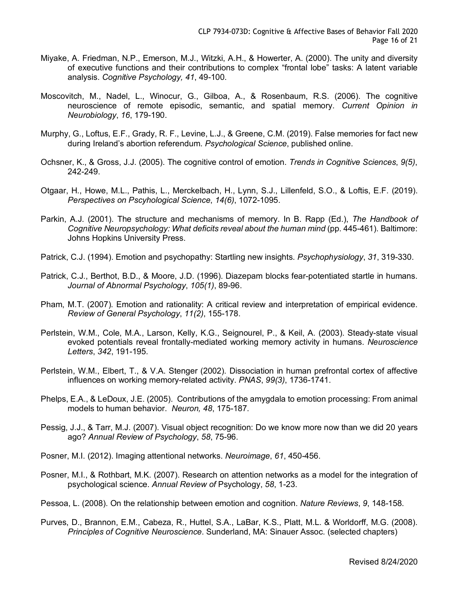- Miyake, A. Friedman, N.P., Emerson, M.J., Witzki, A.H., & Howerter, A. (2000). The unity and diversity of executive functions and their contributions to complex "frontal lobe" tasks: A latent variable analysis. *Cognitive Psychology, 41*, 49-100.
- Moscovitch, M., Nadel, L., Winocur, G., Gilboa, A., & Rosenbaum, R.S. (2006). The cognitive neuroscience of remote episodic, semantic, and spatial memory. *Current Opinion in Neurobiology*, *16*, 179-190.
- Murphy, G., Loftus, E.F., Grady, R. F., Levine, L.J., & Greene, C.M. (2019). False memories for fact new during Ireland's abortion referendum. *Psychological Science*, published online.
- Ochsner, K., & Gross, J.J. (2005). The cognitive control of emotion. *Trends in Cognitive Sciences*, *9(5)*, 242-249.
- Otgaar, H., Howe, M.L., Pathis, L., Merckelbach, H., Lynn, S.J., Lillenfeld, S.O., & Loftis, E.F. (2019). *Perspectives on Pscyhological Science*, *14(6)*, 1072-1095.
- Parkin, A.J. (2001). The structure and mechanisms of memory. In B. Rapp (Ed.), *The Handbook of Cognitive Neuropsychology: What deficits reveal about the human mind* (pp. 445-461). Baltimore: Johns Hopkins University Press.
- Patrick, C.J. (1994). Emotion and psychopathy: Startling new insights. *Psychophysiology*, *31*, 319-330.
- Patrick, C.J., Berthot, B.D., & Moore, J.D. (1996). Diazepam blocks fear-potentiated startle in humans. *Journal of Abnormal Psychology*, *105(1)*, 89-96.
- Pham, M.T. (2007). Emotion and rationality: A critical review and interpretation of empirical evidence. *Review of General Psychology*, *11(2)*, 155-178.
- Perlstein, W.M., Cole, M.A., Larson, Kelly, K.G., Seignourel, P., & Keil, A. (2003). Steady-state visual evoked potentials reveal frontally-mediated working memory activity in humans. *Neuroscience Letters*, *342*, 191-195.
- Perlstein, W.M., Elbert, T., & V.A. Stenger (2002). Dissociation in human prefrontal cortex of affective influences on working memory-related activity. *PNAS*, *99(3)*, 1736-1741.
- Phelps, E.A., & LeDoux, J.E. (2005). Contributions of the amygdala to emotion processing: From animal models to human behavior. *Neuron, 48*, 175-187.
- Pessig, J.J., & Tarr, M.J. (2007). Visual object recognition: Do we know more now than we did 20 years ago? *Annual Review of Psychology*, *58*, 75-96.
- Posner, M.I. (2012). Imaging attentional networks. *Neuroimage*, *61*, 450-456.
- Posner, M.I., & Rothbart, M.K. (2007). Research on attention networks as a model for the integration of psychological science. *Annual Review of* Psychology, *58*, 1-23.
- Pessoa, L. (2008). On the relationship between emotion and cognition. *Nature Reviews*, *9*, 148-158.
- Purves, D., Brannon, E.M., Cabeza, R., Huttel, S.A., LaBar, K.S., Platt, M.L. & Worldorff, M.G. (2008). *Principles of Cognitive Neuroscience*. Sunderland, MA: Sinauer Assoc. (selected chapters)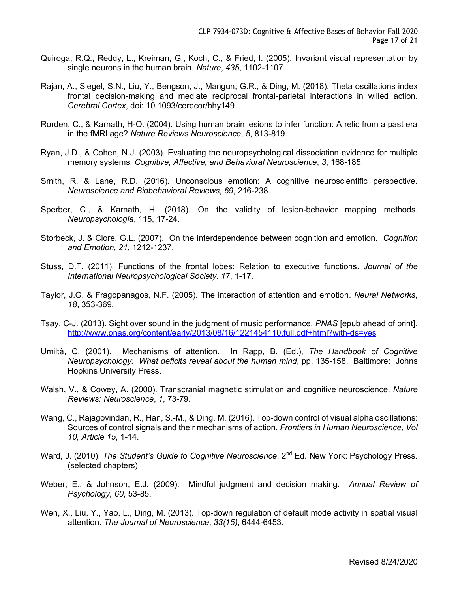- Quiroga, R.Q., Reddy, L., Kreiman, G., Koch, C., & Fried, I. (2005). Invariant visual representation by single neurons in the human brain. *Nature*, *435*, 1102-1107.
- Rajan, A., Siegel, S.N., Liu, Y., Bengson, J., Mangun, G.R., & Ding, M. (2018). Theta oscillations index frontal decision-making and mediate reciprocal frontal-parietal interactions in willed action. *Cerebral Cortex*, doi: 10.1093/cerecor/bhy149.
- Rorden, C., & Karnath, H-O. (2004). Using human brain lesions to infer function: A relic from a past era in the fMRI age? *Nature Reviews Neuroscience*, *5*, 813-819.
- Ryan, J.D., & Cohen, N.J. (2003). Evaluating the neuropsychological dissociation evidence for multiple memory systems. *Cognitive, Affective, and Behavioral Neuroscience*, *3*, 168-185.
- Smith, R. & Lane, R.D. (2016). Unconscious emotion: A cognitive neuroscientific perspective. *Neuroscience and Biobehavioral Reviews*, *69*, 216-238.
- Sperber, C., & Karnath, H. (2018). On the validity of lesion-behavior mapping methods. *Neuropsychologia*, 115, 17-24.
- Storbeck, J. & Clore, G.L. (2007). On the interdependence between cognition and emotion. *Cognition and Emotion, 21*, 1212-1237.
- Stuss, D.T. (2011). Functions of the frontal lobes: Relation to executive functions. *Journal of the International Neuropsychological Society*. *17*, 1-17.
- Taylor, J.G. & Fragopanagos, N.F. (2005). The interaction of attention and emotion. *Neural Networks*, *18*, 353-369.
- Tsay, C-J. (2013). Sight over sound in the judgment of music performance. *PNAS* [epub ahead of print]. http://www.pnas.org/content/early/2013/08/16/1221454110.full.pdf+html?with-ds=yes
- Umiltà, C. (2001). Mechanisms of attention. In Rapp, B. (Ed.), *The Handbook of Cognitive Neuropsychology: What deficits reveal about the human mind*, pp. 135-158. Baltimore: Johns Hopkins University Press.
- Walsh, V., & Cowey, A. (2000). Transcranial magnetic stimulation and cognitive neuroscience. *Nature Reviews: Neuroscience*, *1*, 73-79.
- Wang, C., Rajagovindan, R., Han, S.-M., & Ding, M. (2016). Top-down control of visual alpha oscillations: Sources of control signals and their mechanisms of action. *Frontiers in Human Neuroscience*, *Vol 10, Article 15*, 1-14.
- Ward, J. (2010). *The Student's Guide to Cognitive Neuroscience*, 2<sup>nd</sup> Ed. New York: Psychology Press. (selected chapters)
- Weber, E., & Johnson, E.J. (2009). Mindful judgment and decision making. *Annual Review of Psychology, 60*, 53-85.
- Wen, X., Liu, Y., Yao, L., Ding, M. (2013). Top-down regulation of default mode activity in spatial visual attention. *The Journal of Neuroscience*, *33(15)*, 6444-6453.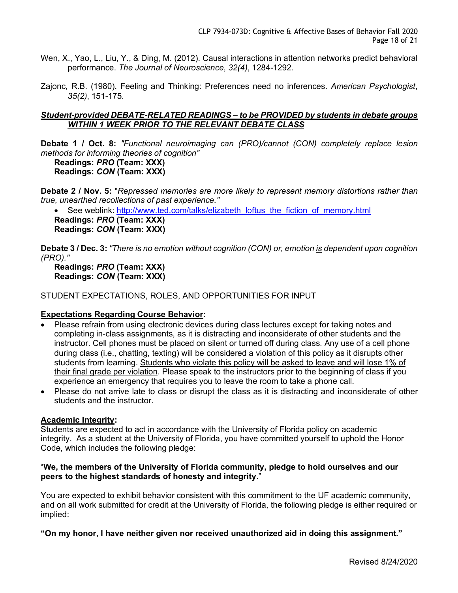- Wen, X., Yao, L., Liu, Y., & Ding, M. (2012). Causal interactions in attention networks predict behavioral performance. *The Journal of Neuroscience*, *32(4)*, 1284-1292.
- Zajonc, R.B. (1980). Feeling and Thinking: Preferences need no inferences. *American Psychologist*, *35(2)*, 151-175.

#### *Student-provided DEBATE-RELATED READINGS – to be PROVIDED by students in debate groups WITHIN 1 WEEK PRIOR TO THE RELEVANT DEBATE CLASS*

**Debate 1 / Oct. 8:** *"Functional neuroimaging can (PRO)/cannot (CON) completely replace lesion methods for informing theories of cognition"*

```
Readings: PRO (Team: XXX)
Readings: CON (Team: XXX)
```
**Debate 2 / Nov. 5:** "*Repressed memories are more likely to represent memory distortions rather than true, unearthed recollections of past experience."*

See weblink: http://www.ted.com/talks/elizabeth\_loftus\_the\_fiction\_of\_memory.html

**Readings:** *PRO* **(Team: XXX)**

**Readings:** *CON* **(Team: XXX)**

**Debate 3 / Dec. 3:** *"There is no emotion without cognition (CON) or, emotion is dependent upon cognition (PRO)."*

**Readings:** *PRO* **(Team: XXX) Readings:** *CON* **(Team: XXX)**

STUDENT EXPECTATIONS, ROLES, AND OPPORTUNITIES FOR INPUT

# **Expectations Regarding Course Behavior:**

- Please refrain from using electronic devices during class lectures except for taking notes and completing in-class assignments, as it is distracting and inconsiderate of other students and the instructor. Cell phones must be placed on silent or turned off during class. Any use of a cell phone during class (i.e., chatting, texting) will be considered a violation of this policy as it disrupts other students from learning. Students who violate this policy will be asked to leave and will lose 1% of their final grade per violation. Please speak to the instructors prior to the beginning of class if you experience an emergency that requires you to leave the room to take a phone call.
- Please do not arrive late to class or disrupt the class as it is distracting and inconsiderate of other students and the instructor.

#### **Academic Integrity:**

Students are expected to act in accordance with the University of Florida policy on academic integrity. As a student at the University of Florida, you have committed yourself to uphold the Honor Code, which includes the following pledge:

#### "**We, the members of the University of Florida community, pledge to hold ourselves and our peers to the highest standards of honesty and integrity**."

You are expected to exhibit behavior consistent with this commitment to the UF academic community, and on all work submitted for credit at the University of Florida, the following pledge is either required or implied:

**"On my honor, I have neither given nor received unauthorized aid in doing this assignment."**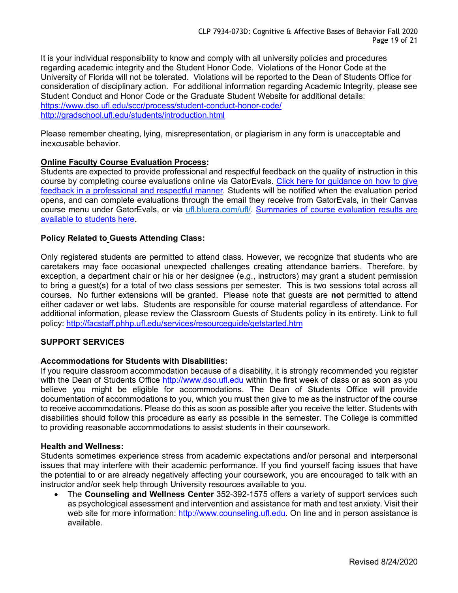It is your individual responsibility to know and comply with all university policies and procedures regarding academic integrity and the Student Honor Code. Violations of the Honor Code at the University of Florida will not be tolerated. Violations will be reported to the Dean of Students Office for consideration of disciplinary action. For additional information regarding Academic Integrity, please see Student Conduct and Honor Code or the Graduate Student Website for additional details: https://www.dso.ufl.edu/sccr/process/student-conduct-honor-code/ http://gradschool.ufl.edu/students/introduction.html

Please remember cheating, lying, misrepresentation, or plagiarism in any form is unacceptable and inexcusable behavior.

# **Online Faculty Course Evaluation Process:**

Students are expected to provide professional and respectful feedback on the quality of instruction in this course by completing course evaluations online via GatorEvals. Click here for guidance on how to give feedback in a professional and respectful manner. Students will be notified when the evaluation period opens, and can complete evaluations through the email they receive from GatorEvals, in their Canvas course menu under GatorEvals, or via ufl.bluera.com/ufl/. Summaries of course evaluation results are available to students here.

# **Policy Related to Guests Attending Class:**

Only registered students are permitted to attend class. However, we recognize that students who are caretakers may face occasional unexpected challenges creating attendance barriers. Therefore, by exception, a department chair or his or her designee (e.g., instructors) may grant a student permission to bring a guest(s) for a total of two class sessions per semester. This is two sessions total across all courses. No further extensions will be granted. Please note that guests are **not** permitted to attend either cadaver or wet labs. Students are responsible for course material regardless of attendance. For additional information, please review the Classroom Guests of Students policy in its entirety. Link to full policy: http://facstaff.phhp.ufl.edu/services/resourceguide/getstarted.htm

# **SUPPORT SERVICES**

# **Accommodations for Students with Disabilities:**

If you require classroom accommodation because of a disability, it is strongly recommended you register with the Dean of Students Office http://www.dso.ufl.edu within the first week of class or as soon as you believe you might be eligible for accommodations. The Dean of Students Office will provide documentation of accommodations to you, which you must then give to me as the instructor of the course to receive accommodations. Please do this as soon as possible after you receive the letter. Students with disabilities should follow this procedure as early as possible in the semester. The College is committed to providing reasonable accommodations to assist students in their coursework.

# **Health and Wellness:**

Students sometimes experience stress from academic expectations and/or personal and interpersonal issues that may interfere with their academic performance. If you find yourself facing issues that have the potential to or are already negatively affecting your coursework, you are encouraged to talk with an instructor and/or seek help through University resources available to you.

• The **Counseling and Wellness Center** 352-392-1575 offers a variety of support services such as psychological assessment and intervention and assistance for math and test anxiety. Visit their web site for more information: http://www.counseling.ufl.edu. On line and in person assistance is available.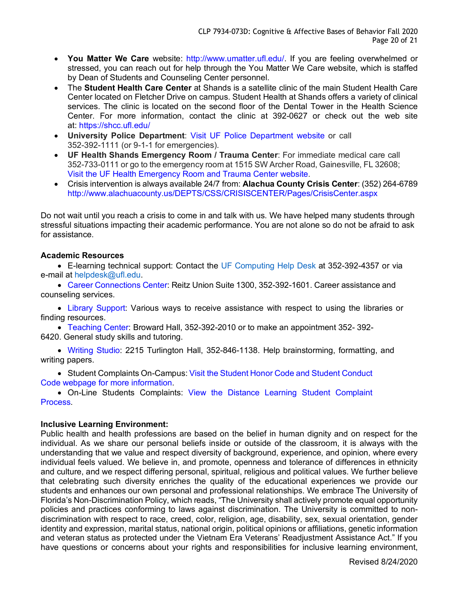- **You Matter We Care** website: http://www.umatter.ufl.edu/. If you are feeling overwhelmed or stressed, you can reach out for help through the You Matter We Care website, which is staffed by Dean of Students and Counseling Center personnel.
- The **Student Health Care Center** at Shands is a satellite clinic of the main Student Health Care Center located on Fletcher Drive on campus. Student Health at Shands offers a variety of clinical services. The clinic is located on the second floor of the Dental Tower in the Health Science Center. For more information, contact the clinic at 392-0627 or check out the web site at: https://shcc.ufl.edu/
- **University Police Department**: Visit UF Police Department website or call 352-392-1111 (or 9-1-1 for emergencies).
- **UF Health Shands Emergency Room / Trauma Center**: For immediate medical care call 352-733-0111 or go to the emergency room at 1515 SW Archer Road, Gainesville, FL 32608; Visit the UF Health Emergency Room and Trauma Center website.
- Crisis intervention is always available 24/7 from: **Alachua County Crisis Center**: (352) 264-6789 http://www.alachuacounty.us/DEPTS/CSS/CRISISCENTER/Pages/CrisisCenter.aspx

Do not wait until you reach a crisis to come in and talk with us. We have helped many students through stressful situations impacting their academic performance. You are not alone so do not be afraid to ask for assistance.

# **Academic Resources**

• E-learning technical support: Contact the UF Computing Help Desk at 352-392-4357 or via e-mail at helpdesk@ufl.edu.

• Career Connections Center: Reitz Union Suite 1300, 352-392-1601. Career assistance and counseling services.

• Library Support: Various ways to receive assistance with respect to using the libraries or finding resources.

• Teaching Center: Broward Hall, 352-392-2010 or to make an appointment 352- 392- 6420. General study skills and tutoring.

• Writing Studio: 2215 Turlington Hall, 352-846-1138. Help brainstorming, formatting, and writing papers.

• Student Complaints On-Campus: Visit the Student Honor Code and Student Conduct Code webpage for more information.

• On-Line Students Complaints: View the Distance Learning Student Complaint Process.

# **Inclusive Learning Environment:**

Public health and health professions are based on the belief in human dignity and on respect for the individual. As we share our personal beliefs inside or outside of the classroom, it is always with the understanding that we value and respect diversity of background, experience, and opinion, where every individual feels valued. We believe in, and promote, openness and tolerance of differences in ethnicity and culture, and we respect differing personal, spiritual, religious and political values. We further believe that celebrating such diversity enriches the quality of the educational experiences we provide our students and enhances our own personal and professional relationships. We embrace The University of Florida's Non-Discrimination Policy, which reads, "The University shall actively promote equal opportunity policies and practices conforming to laws against discrimination. The University is committed to nondiscrimination with respect to race, creed, color, religion, age, disability, sex, sexual orientation, gender identity and expression, marital status, national origin, political opinions or affiliations, genetic information and veteran status as protected under the Vietnam Era Veterans' Readjustment Assistance Act." If you have questions or concerns about your rights and responsibilities for inclusive learning environment,